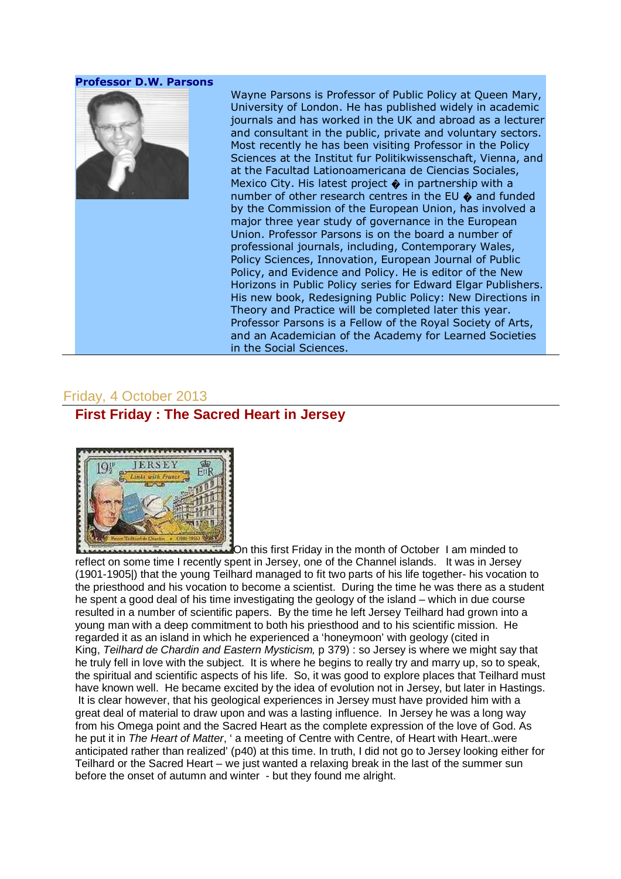#### Professor D.W. Parsons



Wayne Parsons is Professor of Public Policy at Queen Mary, University of London. He has published widely in academic journals and has worked in the UK and abroad as a lecturer and consultant in the public, private and voluntary sectors. Most recently he has been visiting Professor in the Policy Sciences at the Institut fur Politikwissenschaft, Vienna, and at the Facultad Lationoamericana de Ciencias Sociales, Mexico City. His latest project  $\hat{\bullet}$  in partnership with a number of other research centres in the EU  $\bullet$  and funded by the Commission of the European Union, has involved a major three year study of governance in the European Union. Professor Parsons is on the board a number of professional journals, including, Contemporary Wales, Policy Sciences, Innovation, European Journal of Public Policy, and Evidence and Policy. He is editor of the New Horizons in Public Policy series for Edward Elgar Publishers. His new book, Redesigning Public Policy: New Directions in Theory and Practice will be completed later this year. Professor Parsons is a Fellow of the Royal Society of Arts, and an Academician of the Academy for Learned Societies in the Social Sciences.

## Friday, 4 October 2013

## **First Friday : The Sacred Heart in Jersey**



On this first Friday in the month of October I am minded to reflect on some time I recently spent in Jersey, one of the Channel islands. It was in Jersey (1901-1905|) that the young Teilhard managed to fit two parts of his life together- his vocation to the priesthood and his vocation to become a scientist. During the time he was there as a student he spent a good deal of his time investigating the geology of the island – which in due course resulted in a number of scientific papers. By the time he left Jersey Teilhard had grown into a young man with a deep commitment to both his priesthood and to his scientific mission. He regarded it as an island in which he experienced a 'honeymoon' with geology (cited in King, Teilhard de Chardin and Eastern Mysticism, p 379) : so Jersey is where we might say that he truly fell in love with the subject. It is where he begins to really try and marry up, so to speak, the spiritual and scientific aspects of his life. So, it was good to explore places that Teilhard must have known well. He became excited by the idea of evolution not in Jersey, but later in Hastings. It is clear however, that his geological experiences in Jersey must have provided him with a great deal of material to draw upon and was a lasting influence. In Jersey he was a long way from his Omega point and the Sacred Heart as the complete expression of the love of God. As he put it in The Heart of Matter, ' a meeting of Centre with Centre, of Heart with Heart..were anticipated rather than realized' (p40) at this time. In truth, I did not go to Jersey looking either for Teilhard or the Sacred Heart – we just wanted a relaxing break in the last of the summer sun before the onset of autumn and winter - but they found me alright.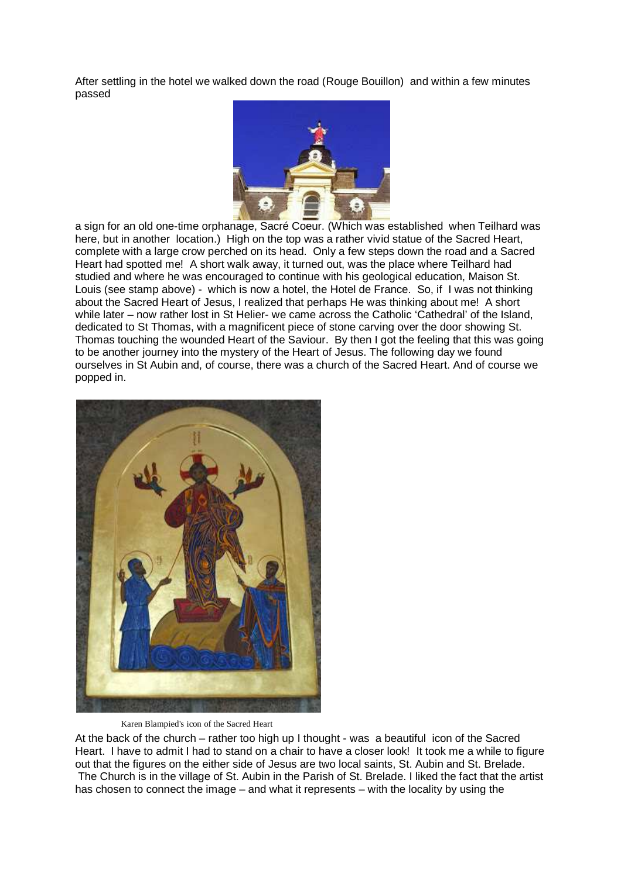After settling in the hotel we walked down the road (Rouge Bouillon) and within a few minutes passed



a sign for an old one-time orphanage, Sacré Coeur. (Which was established when Teilhard was here, but in another location.) High on the top was a rather vivid statue of the Sacred Heart, complete with a large crow perched on its head. Only a few steps down the road and a Sacred Heart had spotted me! A short walk away, it turned out, was the place where Teilhard had studied and where he was encouraged to continue with his geological education, Maison St. Louis (see stamp above) - which is now a hotel, the Hotel de France. So, if I was not thinking about the Sacred Heart of Jesus, I realized that perhaps He was thinking about me! A short while later – now rather lost in St Helier- we came across the Catholic 'Cathedral' of the Island, dedicated to St Thomas, with a magnificent piece of stone carving over the door showing St. Thomas touching the wounded Heart of the Saviour. By then I got the feeling that this was going to be another journey into the mystery of the Heart of Jesus. The following day we found ourselves in St Aubin and, of course, there was a church of the Sacred Heart. And of course we popped in.



#### Karen Blampied's icon of the Sacred Heart

At the back of the church – rather too high up I thought - was a beautiful icon of the Sacred Heart. I have to admit I had to stand on a chair to have a closer look! It took me a while to figure out that the figures on the either side of Jesus are two local saints, St. Aubin and St. Brelade. The Church is in the village of St. Aubin in the Parish of St. Brelade. I liked the fact that the artist

has chosen to connect the image – and what it represents – with the locality by using the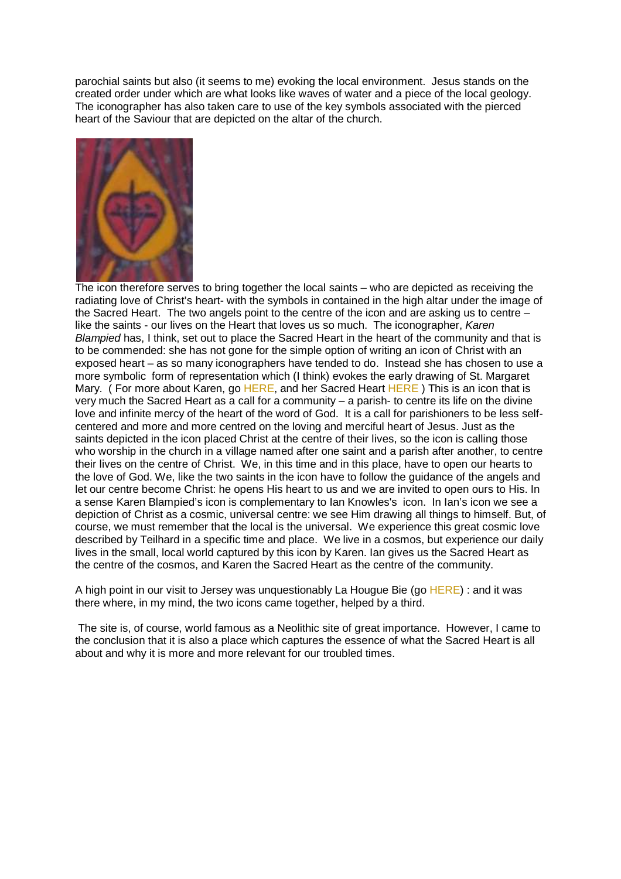parochial saints but also (it seems to me) evoking the local environment. Jesus stands on the created order under which are what looks like waves of water and a piece of the local geology. The iconographer has also taken care to use of the key symbols associated with the pierced heart of the Saviour that are depicted on the altar of the church.



The icon therefore serves to bring together the local saints – who are depicted as receiving the radiating love of Christ's heart- with the symbols in contained in the high altar under the image of the Sacred Heart. The two angels point to the centre of the icon and are asking us to centre – like the saints - our lives on the Heart that loves us so much. The iconographer, Karen Blampied has, I think, set out to place the Sacred Heart in the heart of the community and that is to be commended: she has not gone for the simple option of writing an icon of Christ with an exposed heart – as so many iconographers have tended to do. Instead she has chosen to use a more symbolic form of representation which (I think) evokes the early drawing of St. Margaret Mary. (For more about Karen, go HERE, and her Sacred Heart HERE) This is an icon that is very much the Sacred Heart as a call for a community – a parish- to centre its life on the divine love and infinite mercy of the heart of the word of God. It is a call for parishioners to be less selfcentered and more and more centred on the loving and merciful heart of Jesus. Just as the saints depicted in the icon placed Christ at the centre of their lives, so the icon is calling those who worship in the church in a village named after one saint and a parish after another, to centre their lives on the centre of Christ. We, in this time and in this place, have to open our hearts to the love of God. We, like the two saints in the icon have to follow the guidance of the angels and let our centre become Christ: he opens His heart to us and we are invited to open ours to His. In a sense Karen Blampied's icon is complementary to Ian Knowles's icon. In Ian's icon we see a depiction of Christ as a cosmic, universal centre: we see Him drawing all things to himself. But, of course, we must remember that the local is the universal. We experience this great cosmic love described by Teilhard in a specific time and place. We live in a cosmos, but experience our daily lives in the small, local world captured by this icon by Karen. Ian gives us the Sacred Heart as the centre of the cosmos, and Karen the Sacred Heart as the centre of the community.

A high point in our visit to Jersey was unquestionably La Hougue Bie (go HERE) : and it was there where, in my mind, the two icons came together, helped by a third.

 The site is, of course, world famous as a Neolithic site of great importance. However, I came to the conclusion that it is also a place which captures the essence of what the Sacred Heart is all about and why it is more and more relevant for our troubled times.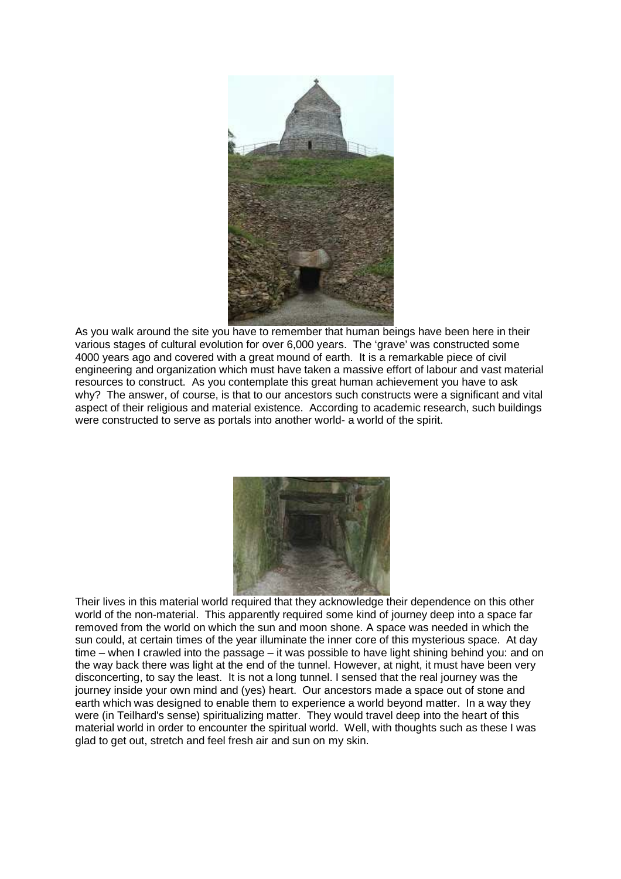

As you walk around the site you have to remember that human beings have been here in their various stages of cultural evolution for over 6,000 years. The 'grave' was constructed some 4000 years ago and covered with a great mound of earth. It is a remarkable piece of civil engineering and organization which must have taken a massive effort of labour and vast material resources to construct. As you contemplate this great human achievement you have to ask why? The answer, of course, is that to our ancestors such constructs were a significant and vital aspect of their religious and material existence. According to academic research, such buildings were constructed to serve as portals into another world- a world of the spirit.



Their lives in this material world required that they acknowledge their dependence on this other world of the non-material. This apparently required some kind of journey deep into a space far removed from the world on which the sun and moon shone. A space was needed in which the sun could, at certain times of the year illuminate the inner core of this mysterious space. At day time – when I crawled into the passage – it was possible to have light shining behind you: and on the way back there was light at the end of the tunnel. However, at night, it must have been very disconcerting, to say the least. It is not a long tunnel. I sensed that the real journey was the journey inside your own mind and (yes) heart. Our ancestors made a space out of stone and earth which was designed to enable them to experience a world beyond matter. In a way they were (in Teilhard's sense) spiritualizing matter. They would travel deep into the heart of this material world in order to encounter the spiritual world. Well, with thoughts such as these I was glad to get out, stretch and feel fresh air and sun on my skin.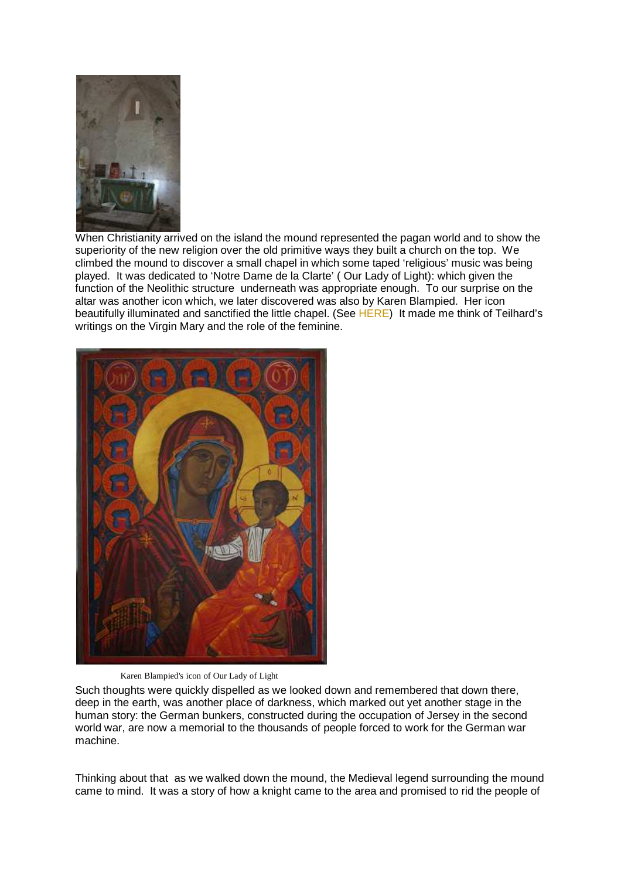

When Christianity arrived on the island the mound represented the pagan world and to show the superiority of the new religion over the old primitive ways they built a church on the top. We climbed the mound to discover a small chapel in which some taped 'religious' music was being played. It was dedicated to 'Notre Dame de la Clarte' ( Our Lady of Light): which given the function of the Neolithic structure underneath was appropriate enough. To our surprise on the altar was another icon which, we later discovered was also by Karen Blampied. Her icon beautifully illuminated and sanctified the little chapel. (See HERE) It made me think of Teilhard's writings on the Virgin Mary and the role of the feminine.



Karen Blampied's icon of Our Lady of Light

Such thoughts were quickly dispelled as we looked down and remembered that down there, deep in the earth, was another place of darkness, which marked out yet another stage in the human story: the German bunkers, constructed during the occupation of Jersey in the second world war, are now a memorial to the thousands of people forced to work for the German war machine.

Thinking about that as we walked down the mound, the Medieval legend surrounding the mound came to mind. It was a story of how a knight came to the area and promised to rid the people of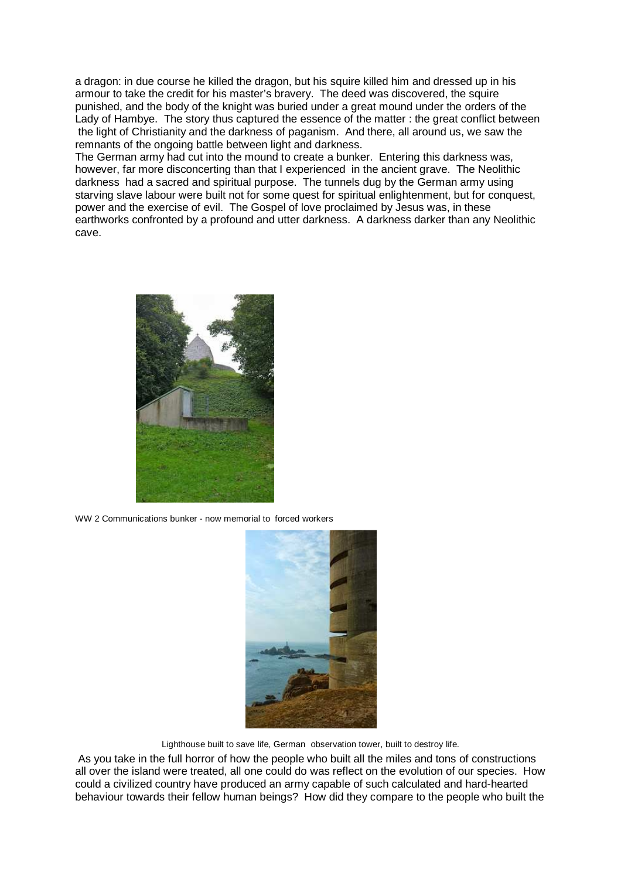a dragon: in due course he killed the dragon, but his squire killed him and dressed up in his armour to take the credit for his master's bravery. The deed was discovered, the squire punished, and the body of the knight was buried under a great mound under the orders of the Lady of Hambye. The story thus captured the essence of the matter : the great conflict between the light of Christianity and the darkness of paganism. And there, all around us, we saw the remnants of the ongoing battle between light and darkness.

The German army had cut into the mound to create a bunker. Entering this darkness was, however, far more disconcerting than that I experienced in the ancient grave. The Neolithic darkness had a sacred and spiritual purpose. The tunnels dug by the German army using starving slave labour were built not for some quest for spiritual enlightenment, but for conquest, power and the exercise of evil. The Gospel of love proclaimed by Jesus was, in these earthworks confronted by a profound and utter darkness. A darkness darker than any Neolithic cave.



WW 2 Communications bunker - now memorial to forced workers



Lighthouse built to save life, German observation tower, built to destroy life.

 As you take in the full horror of how the people who built all the miles and tons of constructions all over the island were treated, all one could do was reflect on the evolution of our species. How could a civilized country have produced an army capable of such calculated and hard-hearted behaviour towards their fellow human beings? How did they compare to the people who built the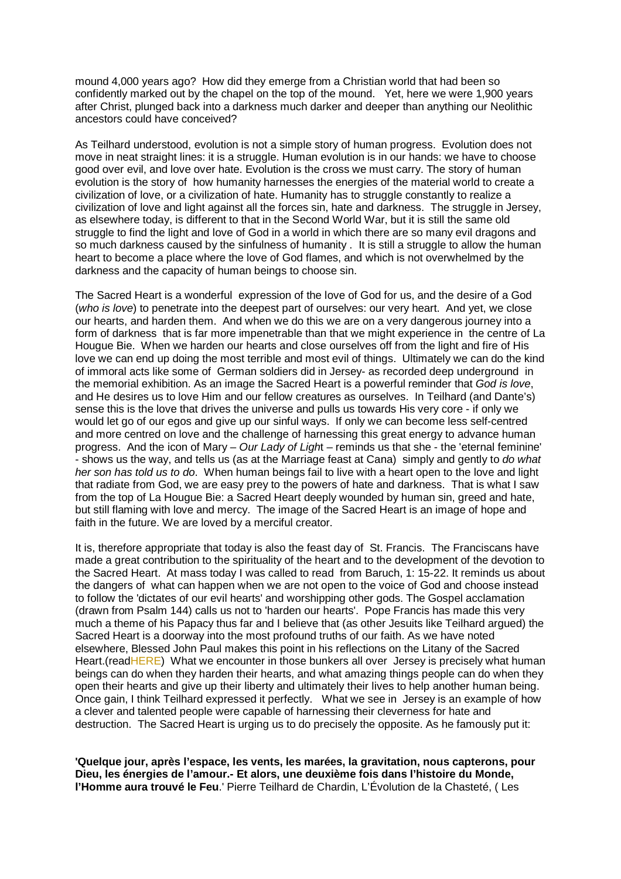mound 4,000 years ago? How did they emerge from a Christian world that had been so confidently marked out by the chapel on the top of the mound. Yet, here we were 1,900 years after Christ, plunged back into a darkness much darker and deeper than anything our Neolithic ancestors could have conceived?

As Teilhard understood, evolution is not a simple story of human progress. Evolution does not move in neat straight lines: it is a struggle. Human evolution is in our hands: we have to choose good over evil, and love over hate. Evolution is the cross we must carry. The story of human evolution is the story of how humanity harnesses the energies of the material world to create a civilization of love, or a civilization of hate. Humanity has to struggle constantly to realize a civilization of love and light against all the forces sin, hate and darkness. The struggle in Jersey, as elsewhere today, is different to that in the Second World War, but it is still the same old struggle to find the light and love of God in a world in which there are so many evil dragons and so much darkness caused by the sinfulness of humanity . It is still a struggle to allow the human heart to become a place where the love of God flames, and which is not overwhelmed by the darkness and the capacity of human beings to choose sin.

The Sacred Heart is a wonderful expression of the love of God for us, and the desire of a God (who is love) to penetrate into the deepest part of ourselves: our very heart. And yet, we close our hearts, and harden them. And when we do this we are on a very dangerous journey into a form of darkness that is far more impenetrable than that we might experience in the centre of La Hougue Bie. When we harden our hearts and close ourselves off from the light and fire of His love we can end up doing the most terrible and most evil of things. Ultimately we can do the kind of immoral acts like some of German soldiers did in Jersey- as recorded deep underground in the memorial exhibition. As an image the Sacred Heart is a powerful reminder that God is love. and He desires us to love Him and our fellow creatures as ourselves. In Teilhard (and Dante's) sense this is the love that drives the universe and pulls us towards His very core - if only we would let go of our egos and give up our sinful ways. If only we can become less self-centred and more centred on love and the challenge of harnessing this great energy to advance human progress. And the icon of Mary – Our Lady of Light – reminds us that she - the 'eternal feminine' - shows us the way, and tells us (as at the Marriage feast at Cana) simply and gently to do what her son has told us to do. When human beings fail to live with a heart open to the love and light that radiate from God, we are easy prey to the powers of hate and darkness. That is what I saw from the top of La Hougue Bie: a Sacred Heart deeply wounded by human sin, greed and hate, but still flaming with love and mercy. The image of the Sacred Heart is an image of hope and faith in the future. We are loved by a merciful creator.

It is, therefore appropriate that today is also the feast day of St. Francis. The Franciscans have made a great contribution to the spirituality of the heart and to the development of the devotion to the Sacred Heart. At mass today I was called to read from Baruch, 1: 15-22. It reminds us about the dangers of what can happen when we are not open to the voice of God and choose instead to follow the 'dictates of our evil hearts' and worshipping other gods. The Gospel acclamation (drawn from Psalm 144) calls us not to 'harden our hearts'. Pope Francis has made this very much a theme of his Papacy thus far and I believe that (as other Jesuits like Teilhard argued) the Sacred Heart is a doorway into the most profound truths of our faith. As we have noted elsewhere, Blessed John Paul makes this point in his reflections on the Litany of the Sacred Heart.(readHERE) What we encounter in those bunkers all over Jersey is precisely what human beings can do when they harden their hearts, and what amazing things people can do when they open their hearts and give up their liberty and ultimately their lives to help another human being. Once gain, I think Teilhard expressed it perfectly. What we see in Jersey is an example of how a clever and talented people were capable of harnessing their cleverness for hate and destruction. The Sacred Heart is urging us to do precisely the opposite. As he famously put it:

**'Quelque jour, après l'espace, les vents, les marées, la gravitation, nous capterons, pour Dieu, les énergies de l'amour.- Et alors, une deuxième fois dans l'histoire du Monde, l'Homme aura trouvé le Feu**.' Pierre Teilhard de Chardin, L'Évolution de la Chasteté, ( Les